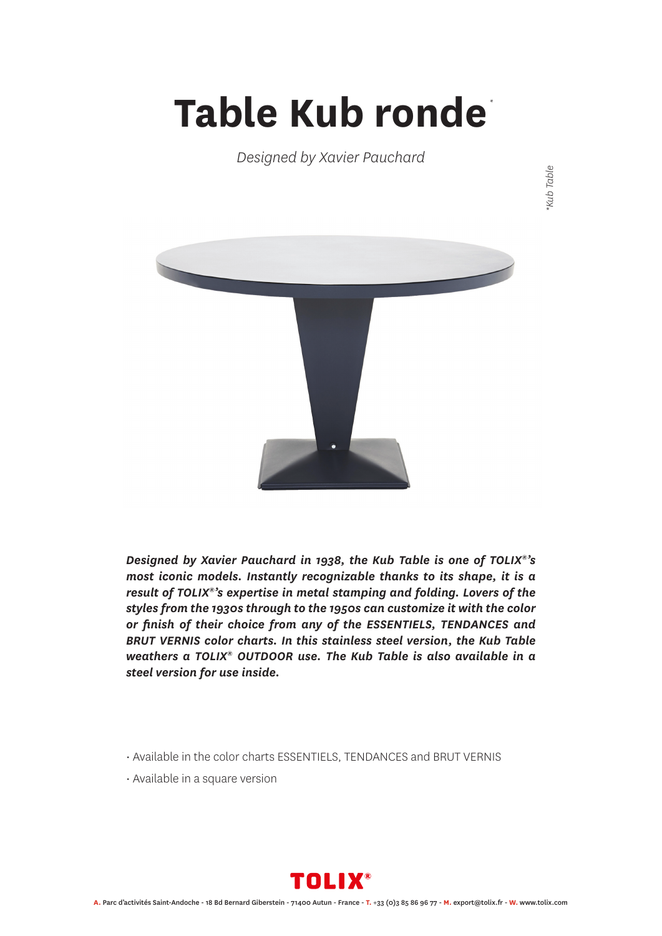## **Table Kub ronde** *\**

*Designed by Xavier Pauchard*



*Designed by Xavier Pauchard in 1938, the Kub Table is one of TOLIX®'s most iconic models. Instantly recognizable thanks to its shape, it is a result of TOLIX®'s expertise in metal stamping and folding. Lovers of the styles from the 1930s through to the 1950s can customize it with the color or finish of their choice from any of the ESSENTIELS, TENDANCES and BRUT VERNIS color charts. In this stainless steel version, the Kub Table weathers a TOLIX® OUTDOOR use. The Kub Table is also available in a steel version for use inside.*

- Available in the color charts ESSENTIELS, TENDANCES and BRUT VERNIS
- Available in a square version